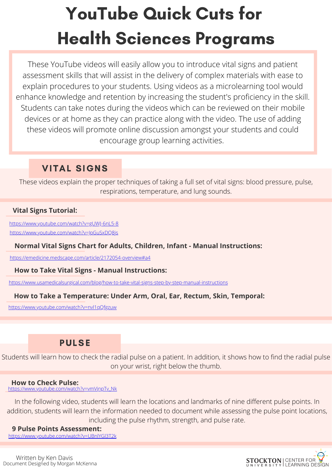# YouTube Quick Cuts for Health Sciences Programs

These YouTube videos will easily allow you to introduce vital signs and patient assessment skills that will assist in the delivery of complex materials with ease to explain procedures to your students. Using videos as a microlearning tool would enhance knowledge and retention by increasing the student's proficiency in the skill. Students can take notes during the videos which can be reviewed on their mobile devices or at home as they can practice along with the video. The use of adding these videos will promote online discussion amongst your students and could encourage group learning activities.

# VITAL SIGNS

These videos explain the proper techniques of taking a full set of vital signs: blood pressure, pulse, respirations, temperature, and lung sounds.

### **Vital Signs Tutorial:**

<https://www.youtube.com/watch?v=gUWJ-6nL5-8> <https://www.youtube.com/watch?v=JpGuSxDQ8js>

### **Normal Vital Signs Chart for Adults, Children, Infant - Manual Instructions:**

<https://emedicine.medscape.com/article/2172054-overview#a4>

### **How to Take Vital Signs - Manual Instructions:**

<https://www.usamedicalsurgical.com/blog/how-to-take-vital-signs-step-by-step-manual-instructions>

### **How to Take a Temperature: Under Arm, Oral, Ear, Rectum, Skin, Temporal:**

<https://www.youtube.com/watch?v=nvl1qQfgzuw>

### PULSE

Students will learn how to check the radial pulse on a patient. In addition, it shows how to find the radial pulse on your wrist, right below the thumb.

### **How to Check Pulse:**

[https://www.youtube.com/watch?v=vmVjnpTv\\_Nk](https://www.youtube.com/watch?v=vmVjnpTv_Nk)

In the following video, students will learn the locations and landmarks of nine different pulse points. In addition, students will learn the information needed to document while assessing the pulse point locations, including the pulse rhythm, strength, and pulse rate.

### **9 Pulse Points Assessment:**

<https://www.youtube.com/watch?v=UBnlYGl3T2k>

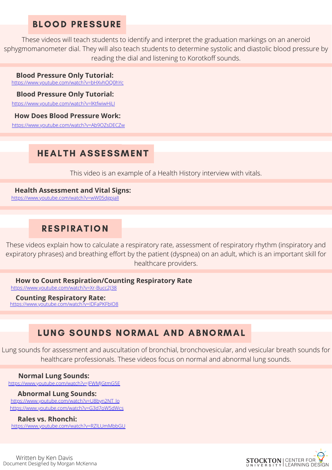### BLOOD PRESSURE

These videos will teach students to identify and interpret the graduation markings on an aneroid sphygmomanometer dial. They will also teach students to determine systolic and diastolic blood pressure by reading the dial and listening to Korotkoff sounds.

### **Blood Pressure Only Tutorial:**

<https://www.youtube.com/watch?v=bHXvhOQ0hYc>

#### **Blood Pressure Only Tutorial:**

<https://www.youtube.com/watch?v=lKtfwiwHjLI>

#### **How Does Blood Pressure Work:**

<https://www.youtube.com/watch?v=Ab9OZsDECZw>

# HEALTH ASSESSMENT

This video is an example of a Health History interview with vitals.

### **Health Assessment and Vital Signs:**

<https://www.youtube.com/watch?v=wW05dgpjalI>

# RESPIRATION

These videos explain how to calculate a respiratory rate, assessment of respiratory rhythm (inspiratory and expiratory phrases) and breathing effort by the patient (dyspnea) on an adult, which is an important skill for healthcare providers.

### **How to Count Respiration/Counting Respiratory Rate**

<https://www.youtube.com/watch?v=Xr-Bucc2J38>

#### **Counting Respiratory Rate:**

<https://www.youtube.com/watch?v=IDFaPKFbIO8>

# LUNG SOUNDS NORMAL AND ABNORMAL

Lung sounds for assessment and auscultation of bronchial, bronchovesicular, and vesicular breath sounds for healthcare professionals. These videos focus on normal and abnormal lung sounds.

#### **Normal Lung Sounds:**

<https://www.youtube.com/watch?v=JFWMJGtmG5E>

### **Abnormal Lung Sounds:**

[https://www.youtube.com/watch?v=U8byn2NT\\_lo](https://www.youtube.com/watch?v=U8byn2NT_lo) <https://www.youtube.com/watch?v=G3d7oW5dWcs>

### **Rales vs. Rhonchi:**

<https://www.youtube.com/watch?v=RZlLUmMbbGU>